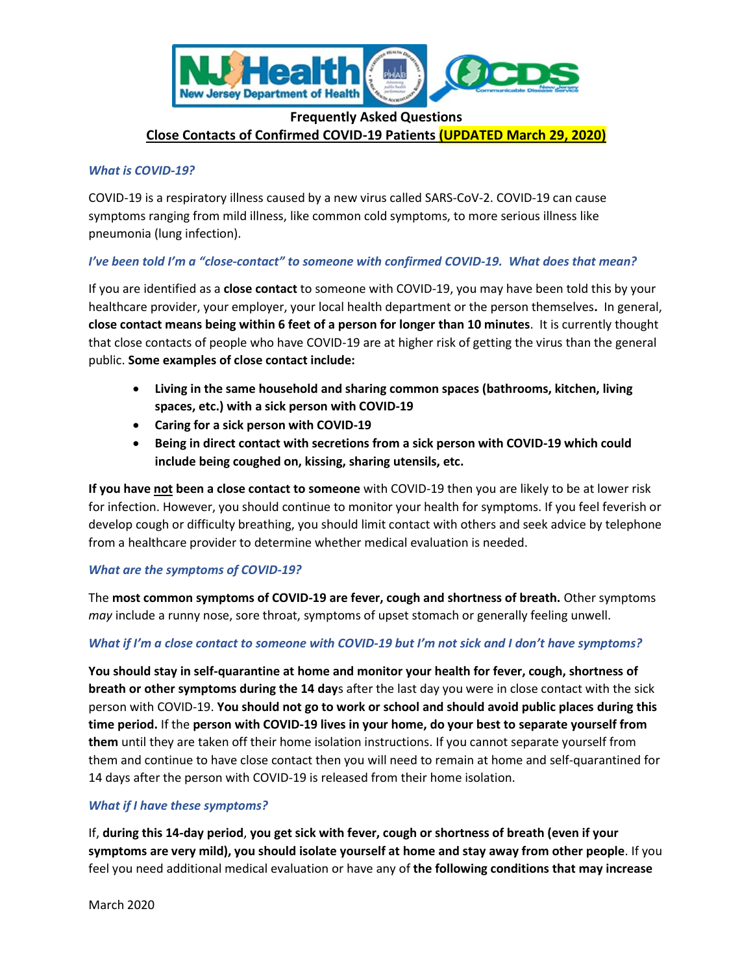

# **Frequently Asked Questions Close Contacts of Confirmed COVID-19 Patients (UPDATED March 29, 2020)**

#### *What is COVID-19?*

COVID-19 is a respiratory illness caused by a new virus called SARS-CoV-2. COVID-19 can cause symptoms ranging from mild illness, like common cold symptoms, to more serious illness like pneumonia (lung infection).

### *I've been told I'm a "close-contact" to someone with confirmed COVID-19. What does that mean?*

If you are identified as a **close contact** to someone with COVID-19, you may have been told this by your healthcare provider, your employer, your local health department or the person themselves**.** In general, **close contact means being within 6 feet of a person for longer than 10 minutes**. It is currently thought that close contacts of people who have COVID-19 are at higher risk of getting the virus than the general public. **Some examples of close contact include:**

- **Living in the same household and sharing common spaces (bathrooms, kitchen, living spaces, etc.) with a sick person with COVID-19**
- **Caring for a sick person with COVID-19**
- **Being in direct contact with secretions from a sick person with COVID-19 which could include being coughed on, kissing, sharing utensils, etc.**

**If you have not been a close contact to someone** with COVID-19 then you are likely to be at lower risk for infection. However, you should continue to monitor your health for symptoms. If you feel feverish or develop cough or difficulty breathing, you should limit contact with others and seek advice by telephone from a healthcare provider to determine whether medical evaluation is needed.

### *What are the symptoms of COVID-19?*

The **most common symptoms of COVID-19 are fever, cough and shortness of breath.** Other symptoms *may* include a runny nose, sore throat, symptoms of upset stomach or generally feeling unwell.

### *What if I'm a close contact to someone with COVID-19 but I'm not sick and I don't have symptoms?*

**You should stay in self-quarantine at home and monitor your health for fever, cough, shortness of breath or other symptoms during the 14 day**s after the last day you were in close contact with the sick person with COVID-19. **You should not go to work or school and should avoid public places during this time period.** If the **person with COVID-19 lives in your home, do your best to separate yourself from them** until they are taken off their home isolation instructions. If you cannot separate yourself from them and continue to have close contact then you will need to remain at home and self-quarantined for 14 days after the person with COVID-19 is released from their home isolation.

### *What if I have these symptoms?*

If, **during this 14-day period**, **you get sick with fever, cough or shortness of breath (even if your symptoms are very mild), you should isolate yourself at home and stay away from other people**. If you feel you need additional medical evaluation or have any of **the following conditions that may increase**